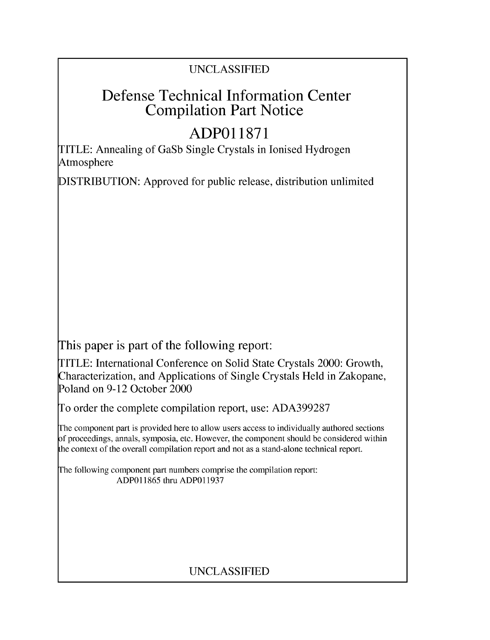## UNCLASSIFIED

## Defense Technical Information Center Compilation Part Notice

# **ADPO 11871**

TITLE: Annealing of GaSb Single Crystals in lonised Hydrogen Atmosphere

DISTRIBUTION: Approved for public release, distribution unlimited

This paper is part of the following report:

TITLE: International Conference on Solid State Crystals 2000: Growth, Characterization, and Applications of Single Crystals Held in Zakopane, Poland on 9-12 October 2000

To order the complete compilation report, use: ADA399287

The component part is provided here to allow users access to individually authored sections f proceedings, annals, symposia, etc. However, the component should be considered within [he context of the overall compilation report and not as a stand-alone technical report.

The following component part numbers comprise the compilation report: ADP011865 thru ADP011937

## UNCLASSIFIED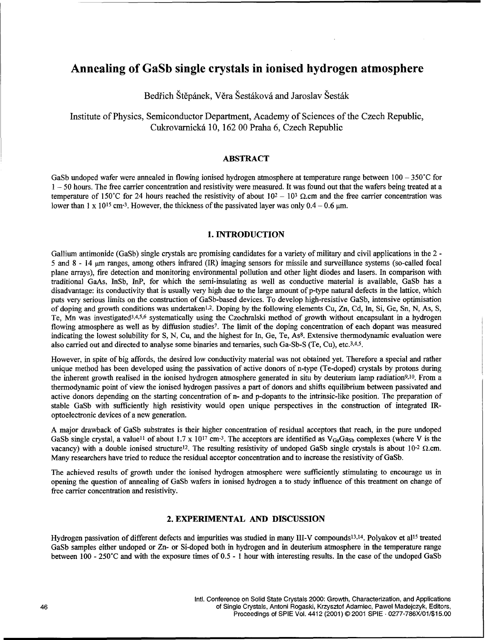### Annealing of GaSb single crystals in ionised hydrogen atmosphere

Bedřich Štěpánek, Věra Šestáková and Jaroslav Šesták

Institute of Physics, Semiconductor Department, Academy of Sciences of the Czech Republic, Cukrovarnická 10, 162 00 Praha 6, Czech Republic

#### ABSTRACT

GaSb undoped wafer were annealed in flowing ionised hydrogen atmosphere at temperature range between 100 - 350°C for 1 - 50 hours. The free carrier concentration and resistivity were measured. It was found out that the wafers being treated at a temperature of 150°C for 24 hours reached the resistivity of about  $10^2 - 10^3$  Q.cm and the free carrier concentration was lower than 1 x 10<sup>15</sup> cm<sup>-3</sup>. However, the thickness of the passivated layer was only  $0.4 - 0.6 \,\mu m$ .

#### 1. **INTRODUCTION**

Gallium antimonide (GaSb) single crystals are promising candidates for a variety of military and civil applications in the 2 - 5 and 8 - 14  $\mu$ m ranges, among others infrared (IR) imaging sensors for missile and surveillance systems (so-called focal plane arrays), fire detection and monitoring environmental pollution and other light diodes and lasers. In comparison with traditional GaAs, InSb, InP, for which the semi-insulating as well as conductive material is available, GaSb has a disadvantage: its conductivity that is usually very high due to the large amount of p-type natural defects in the lattice, which puts very serious limits on the construction of GaSb-based devices. To develop high-resistive GaSb, intensive optimisation of doping and growth conditions was undertaken<sup>1,2</sup>. Doping by the following elements Cu, Zn, Cd, In, Si, Ge, Sn, N, As, S, Te, Mn was investigated<sup>3,4,5,6</sup> systematically using the Czochralski method of growth without encapsulant in a hydroger flowing atmosphere as well as by diffusion studies<sup>7</sup>. The limit of the doping concentration of each dopant was measured indicating the lowest solubility for S, N, Cu, and the highest for In, Ge, Te, As<sup>8</sup>. Extensive thermodynamic evaluation were also carried out and directed to analyse some binaries and ternaries, such Ga-Sb-S (Te, Cu), etc.3,4,5.

However, in spite of big affords, the desired low conductivity material was not obtained yet. Therefore a special and rather unique method has been developed using the passivation of active donors of n-type (Te-doped) crystals by protons during the inherent growth realised in the ionised hydrogen atmosphere generated in situ by deuterium lamp radiation<sup>9,10</sup>. From a thermodynamic point of view the ionised hydrogen passives a part of donors and shifts equilibrium between passivated and active donors depending on the starting concentration of n- and p-dopants to the intrinsic-like position. The preparation of stable GaSb with sufficiently high resistivity would open unique perspectives in the construction of integrated IRoptoelectronic devices of a new generation.

A major drawback of GaSb substrates is their higher concentration of residual acceptors that reach, in the pure undoped GaSb single crystal, a value<sup>11</sup> of about 1.7 x 10<sup>17</sup> cm<sup>-3</sup>. The acceptors are identified as  $V_{Ga}G$ as<sub>b</sub> complexes (where V is the vacancy) with a double ionised structure<sup>12</sup>. The resulting resistivity of undoped GaSb single crystals is about  $10^{-2}$   $\Omega$ .cm. Many researchers have tried to reduce the residual acceptor concentration and to increase the resistivity of GaSb.

The achieved results of growth under the ionised hydrogen atmosphere were sufficiently stimulating to encourage us in opening the question of annealing of GaSb wafers in ionised hydrogen a to study influence of this treatment on change of free carrier concentration and resistivity.

#### 2. EXPERIMENTAL **AND DISCUSSION**

Hydrogen passivation of different defects and impurities was studied in many III-V compounds<sup>13,14</sup>. Polyakov et al<sup>15</sup> treated GaSb samples either undoped or Zn- or Si-doped both in hydrogen and in deuterium atmosphere in the temperature range between 100 - 250°C and with the exposure times of 0.5 - 1 hour with interesting results. In the case of the undoped GaSb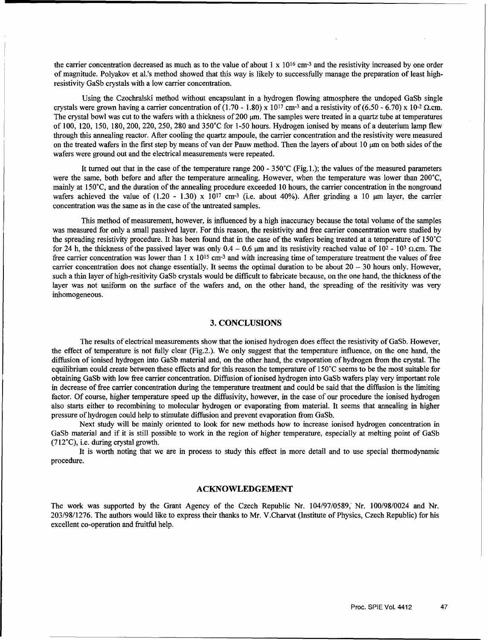the carrier concentration decreased as much as to the value of about  $1 \times 10^{16}$  cm<sup>-3</sup> and the resistivity increased by one order of magnitude. Polyakov et al.'s method showed that this way is likely to successfully manage the preparation of least highresistivity GaSb crystals with a low carrier concentration.

Using the Czochralski method without encapsulant in a hydrogen flowing atmosphere the undoped GaSb single crystals were grown having a carrier concentration of (1.70 - 1.80) x  $10^{17}$  cm<sup>-3</sup> and a resistivity of (6.50 - 6.70) x  $10^{-2}$   $\Omega$ .cm. The crystal bowl was cut to the wafers with a thickness of 200  $\mu$ m. The samples were treated in a quartz tube at temperatures of 100, 120, 150, 180, 200, 220, 250, 280 and 350°C for 1-50 hours. Hydrogen ionised by means of a deuterium lamp flew through this annealing reactor. After cooling the quartz ampoule, the carrier concentration and the resistivity were measured on the treated wafers in the first step by means of van der Pauw method. Then the layers of about  $10 \mu m$  on both sides of the wafers were ground out and the electrical measurements were repeated.

It turned out that in the case of the temperature range  $200 - 350^{\circ}$ C (Fig. 1.); the values of the measured parameters were the same, both before and after the temperature annealing. However, when the temperature was lower than 200°C, mainly at 150'C, and the duration of the annealing procedure exceeded 10 hours, the carrier concentration in the nonground wafers achieved the value of  $(1.20 - 1.30)$  x  $10^{17}$  cm<sup>-3</sup> (i.e. about 40%). After grinding a 10  $\mu$ m layer, the carrier concentration was the same as in the case of the untreated samples.

This method of measurement, however, is influenced by a high inaccuracy because the total volume of the samples was measured for only a small passived layer. For this reason, the resistivity and free carrier concentration were studied by the spreading resistivity procedure. It has been found that in the case of the wafers being treated at a temperature of 150°C for 24 h, the thickness of the passived layer was only  $0.4 - 0.6$  µm and its resistivity reached value of  $10^2 \cdot 10^3 \Omega$ .cm. The free carrier concentration was lower than  $1 \times 10^{15}$  cm<sup>-3</sup> and with increasing time of temperature treatment the values of free carrier concentration does not change essentially. It seems the optimal duration to be about  $20 - 30$  hours only. However, such a thin layer of high-resitivity GaSb crystals would be difficult to fabricate because, on the one hand, the thickness of the layer was not uniform on the surface of the wafers and, on the other hand, the spreading of the resitivity was very inhomogeneous.

#### **3. CONCLUSIONS**

The results of electrical measurements show that the ionised hydrogen does effect the resistivity of GaSb. However, the effect of temperature is not fully clear (Fig.2.). We only suggest that the temperature influence, on the one hand, the diffusion of ionised hydrogen into GaSb material and, on the other hand, the evaporation of hydrogen from the crystal. The equilibrium could create between these effects and for this reason the temperature of 150'C seems to be the most suitable for obtaining GaSb with low free carrier concentration. Diffusion of ionised hydrogen into GaSb wafers play very important role in decrease of free carrier concentration during the temperature treatment and could be said that the diffusion is the limiting factor. Of course, higher temperature speed up the diffusivity, however, in the case of our procedure the ionised hydrogen also starts either to recombining to molecular hydrogen or evaporating from material. It seems that annealing in higher pressure of hydrogen could help to stimulate diffusion and prevent evaporation from GaSb.

Next study will be mainly oriented to look for new methods how to increase ionised hydrogen concentration in GaSb material and if it is still possible to work in the region of higher temperature, especially at melting point of GaSb  $(712^{\circ}C)$ , i.e. during crystal growth.

It is worth noting that we are in process to study this effect in more detail and to use special thermodynamic procedure.

#### **ACKNOWLEDGEMENT**

The work was supported by the Grant Agency of the Czech Republic Nr. 104/97/0589,' Nr. 100/98/0024 and Nr. 203/98/1276. The authors would like to express their thanks to Mr. V.Charvat (Institute of Physics, Czech Republic) for his excellent co-operation and fruitful help.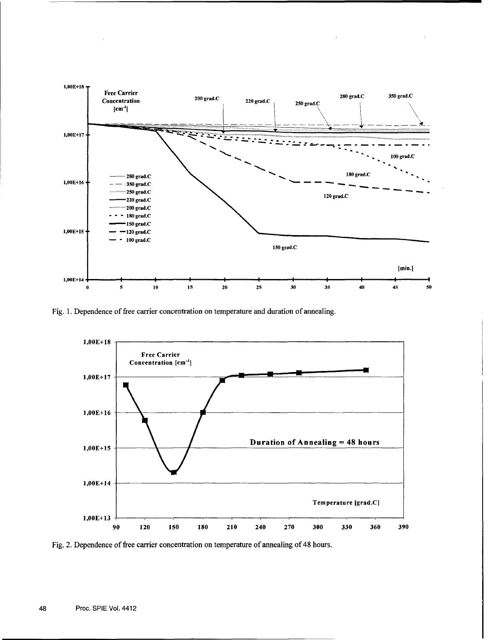

Fig. **1.** Dependence of free carrier concentration on temperature and duration of annealing.



Fig. 2. Dependence of free carrier concentration on temperature of annealing of 48 hours.